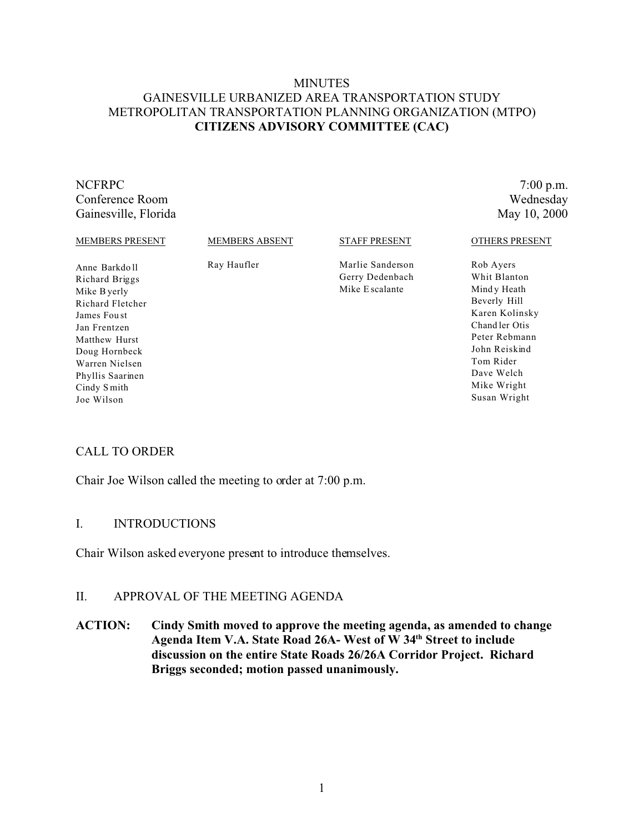# **MINUTES** GAINESVILLE URBANIZED AREA TRANSPORTATION STUDY METROPOLITAN TRANSPORTATION PLANNING ORGANIZATION (MTPO) **CITIZENS ADVISORY COMMITTEE (CAC)**

#### NCFRPC 7:00 p.m. Conference Room Wednesday Gainesville, Florida May 10, 2000

#### MEMBERS PRESENT

Anne Barkdo ll Richard Briggs Mike Byerly Richard Fletcher James Fou st Jan Frentzen Matthew Hurst Doug Hornbeck Warren Nielsen Phyllis Saarinen Cindy S mith Joe Wilson

MEMBERS ABSENT

Ray Haufler

STAFF PRESENT

Marlie Sanderson Gerry Dedenbach Mike E scalante

#### OTHERS PRESENT

Rob Ayers Whit Blanton Mind y Heath Beverly Hill Karen Kolinsky Chand ler Otis Peter Rebmann John Reiskind Tom Rider Dave Welch Mike Wright Susan Wright

# CALL TO ORDER

Chair Joe Wilson called the meeting to order at 7:00 p.m.

### I. INTRODUCTIONS

Chair Wilson asked everyone present to introduce themselves.

## II. APPROVAL OF THE MEETING AGENDA

**ACTION: Cindy Smith moved to approve the meeting agenda, as amended to change Agenda Item V.A. State Road 26A- West of W 34th Street to include discussion on the entire State Roads 26/26A Corridor Project. Richard Briggs seconded; motion passed unanimously.**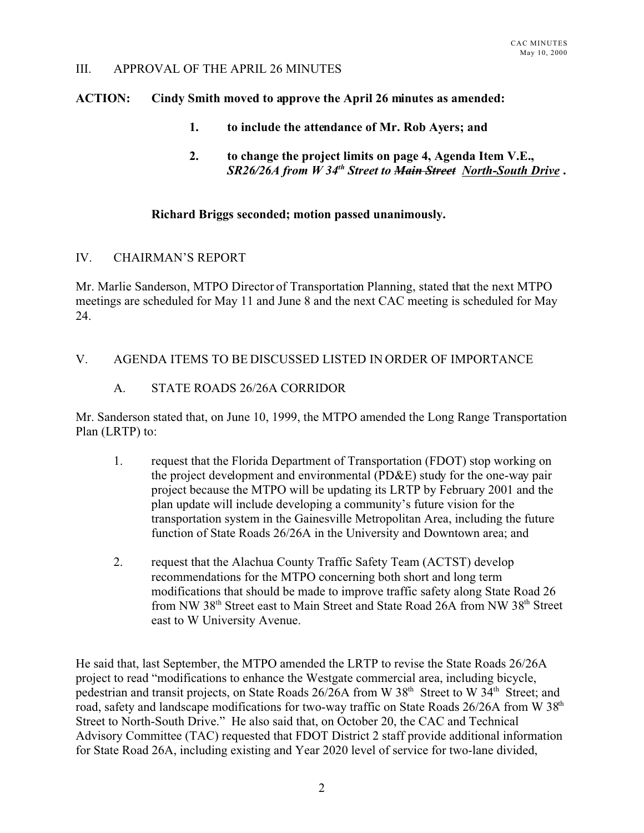#### III. APPROVAL OF THE APRIL 26 MINUTES

#### **ACTION: Cindy Smith moved to approve the April 26 minutes as amended:**

- **1. to include the attendance of Mr. Rob Ayers; and**
- **2. to change the project limits on page 4, Agenda Item V.E.,** *SR26/26A from W 34th Street to Main Street North-South Drive* **.**

#### **Richard Briggs seconded; motion passed unanimously.**

#### IV. CHAIRMAN'S REPORT

Mr. Marlie Sanderson, MTPO Director of Transportation Planning, stated that the next MTPO meetings are scheduled for May 11 and June 8 and the next CAC meeting is scheduled for May 24.

### V. AGENDA ITEMS TO BE DISCUSSED LISTED IN ORDER OF IMPORTANCE

## A. STATE ROADS 26/26A CORRIDOR

Mr. Sanderson stated that, on June 10, 1999, the MTPO amended the Long Range Transportation Plan (LRTP) to:

- 1. request that the Florida Department of Transportation (FDOT) stop working on the project development and environmental (PD&E) study for the one-way pair project because the MTPO will be updating its LRTP by February 2001 and the plan update will include developing a community's future vision for the transportation system in the Gainesville Metropolitan Area, including the future function of State Roads 26/26A in the University and Downtown area; and
- 2. request that the Alachua County Traffic Safety Team (ACTST) develop recommendations for the MTPO concerning both short and long term modifications that should be made to improve traffic safety along State Road 26 from NW 38<sup>th</sup> Street east to Main Street and State Road 26A from NW 38<sup>th</sup> Street east to W University Avenue.

He said that, last September, the MTPO amended the LRTP to revise the State Roads 26/26A project to read "modifications to enhance the Westgate commercial area, including bicycle, pedestrian and transit projects, on State Roads 26/26A from W 38<sup>th</sup> Street to W 34<sup>th</sup> Street; and road, safety and landscape modifications for two-way traffic on State Roads 26/26A from W 38<sup>th</sup> Street to North-South Drive." He also said that, on October 20, the CAC and Technical Advisory Committee (TAC) requested that FDOT District 2 staff provide additional information for State Road 26A, including existing and Year 2020 level of service for two-lane divided,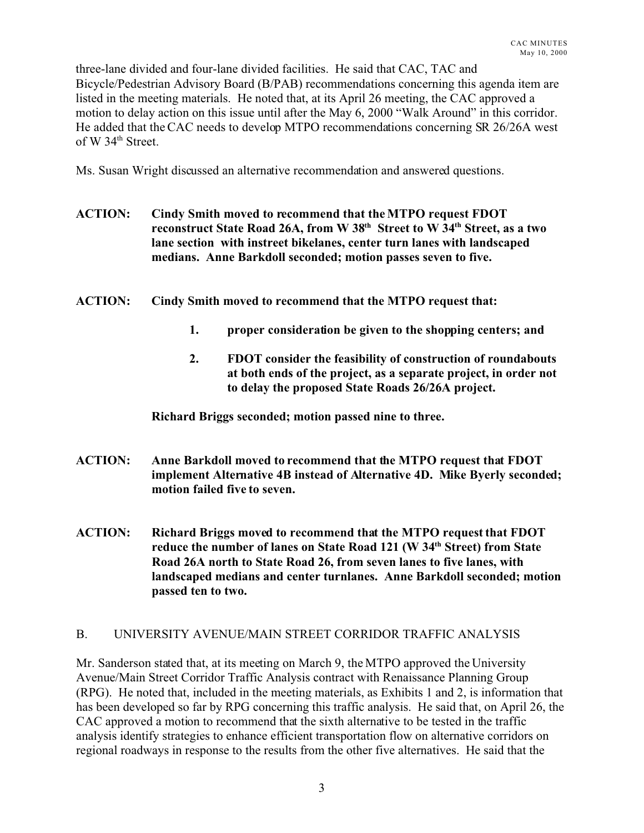three-lane divided and four-lane divided facilities. He said that CAC, TAC and Bicycle/Pedestrian Advisory Board (B/PAB) recommendations concerning this agenda item are listed in the meeting materials. He noted that, at its April 26 meeting, the CAC approved a motion to delay action on this issue until after the May 6, 2000 "Walk Around" in this corridor. He added that the CAC needs to develop MTPO recommendations concerning SR 26/26A west of W 34<sup>th</sup> Street.

Ms. Susan Wright discussed an alternative recommendation and answered questions.

- **ACTION: Cindy Smith moved to recommend that the MTPO request FDOT reconstruct State Road 26A, from W 38th Street to W 34th Street, as a two lane section with instreet bikelanes, center turn lanes with landscaped medians. Anne Barkdoll seconded; motion passes seven to five.**
- **ACTION: Cindy Smith moved to recommend that the MTPO request that:**
	- **1. proper consideration be given to the shopping centers; and**
	- **2. FDOT consider the feasibility of construction of roundabouts at both ends of the project, as a separate project, in order not to delay the proposed State Roads 26/26A project.**

**Richard Briggs seconded; motion passed nine to three.**

- **ACTION: Anne Barkdoll moved to recommend that the MTPO request that FDOT implement Alternative 4B instead of Alternative 4D. Mike Byerly seconded; motion failed five to seven.**
- **ACTION: Richard Briggs moved to recommend that the MTPO request that FDOT reduce the number of lanes on State Road 121 (W 34th Street) from State Road 26A north to State Road 26, from seven lanes to five lanes, with landscaped medians and center turnlanes. Anne Barkdoll seconded; motion passed ten to two.**

# B. UNIVERSITY AVENUE/MAIN STREET CORRIDOR TRAFFIC ANALYSIS

Mr. Sanderson stated that, at its meeting on March 9, the MTPO approved the University Avenue/Main Street Corridor Traffic Analysis contract with Renaissance Planning Group (RPG). He noted that, included in the meeting materials, as Exhibits 1 and 2, is information that has been developed so far by RPG concerning this traffic analysis. He said that, on April 26, the CAC approved a motion to recommend that the sixth alternative to be tested in the traffic analysis identify strategies to enhance efficient transportation flow on alternative corridors on regional roadways in response to the results from the other five alternatives. He said that the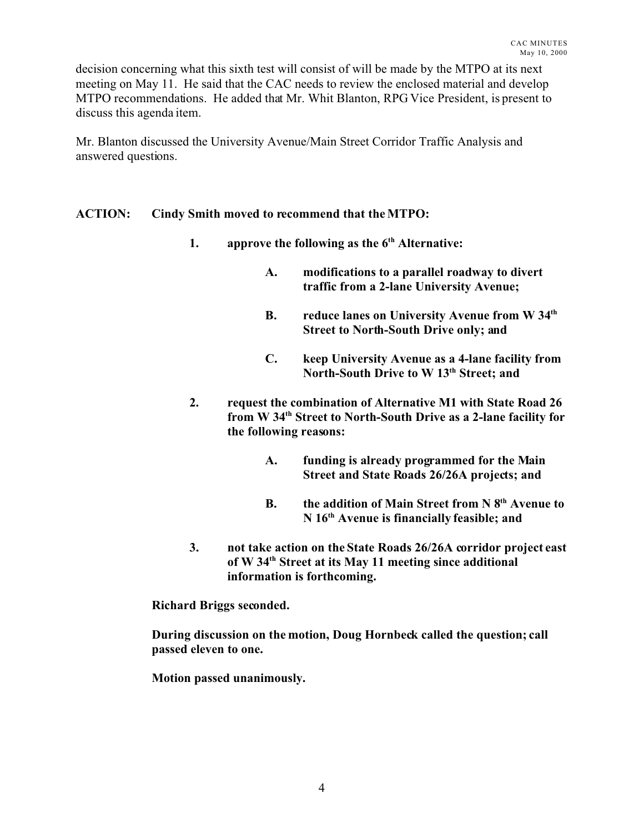decision concerning what this sixth test will consist of will be made by the MTPO at its next meeting on May 11. He said that the CAC needs to review the enclosed material and develop MTPO recommendations. He added that Mr. Whit Blanton, RPG Vice President, is present to discuss this agenda item.

Mr. Blanton discussed the University Avenue/Main Street Corridor Traffic Analysis and answered questions.

# **ACTION: Cindy Smith moved to recommend that the MTPO:**

- **1. approve the following as the 6th Alternative:**
	- **A. modifications to a parallel roadway to divert traffic from a 2-lane University Avenue;**
	- **B. reduce lanes on University Avenue from W 34th Street to North-South Drive only; and**
	- **C. keep University Avenue as a 4-lane facility from North-South Drive to W 13th Street; and**
- **2. request the combination of Alternative M1 with State Road 26 from W 34th Street to North-South Drive as a 2-lane facility for the following reasons:**
	- **A. funding is already programmed for the Main Street and State Roads 26/26A projects; and**
	- **B. the addition of Main Street from N 8th Avenue to N 16th Avenue is financially feasible; and**
- **3. not take action on the State Roads 26/26A corridor project east of W 34th Street at its May 11 meeting since additional information is forthcoming.**

**Richard Briggs seconded.**

**During discussion on the motion, Doug Hornbeck called the question; call passed eleven to one.**

**Motion passed unanimously.**